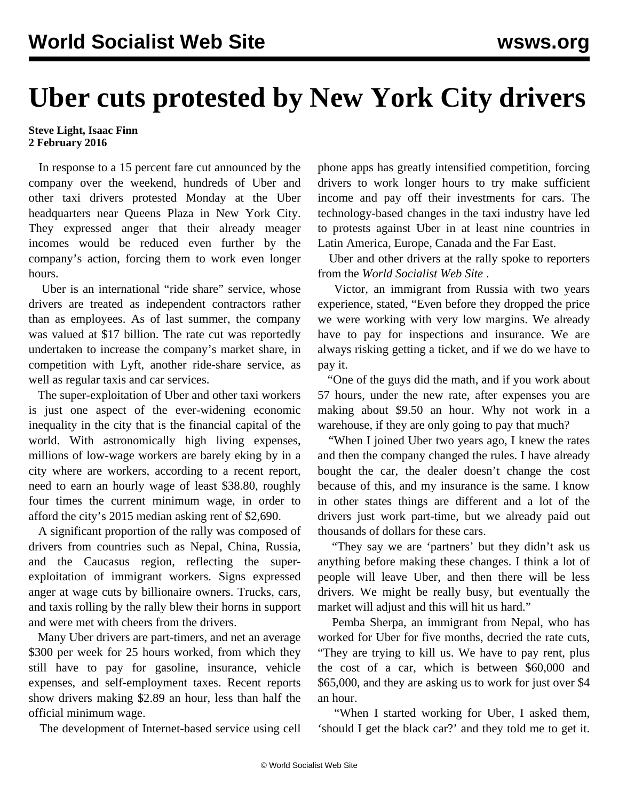## **Uber cuts protested by New York City drivers**

## **Steve Light, Isaac Finn 2 February 2016**

 In response to a 15 percent fare cut announced by the company over the weekend, hundreds of Uber and other taxi drivers protested Monday at the Uber headquarters near Queens Plaza in New York City. They expressed anger that their already meager incomes would be reduced even further by the company's action, forcing them to work even longer hours.

 Uber is an international "ride share" service, whose drivers are treated as independent contractors rather than as employees. As of last summer, the company was valued at \$17 billion. The rate cut was reportedly undertaken to increase the company's market share, in competition with Lyft, another ride-share service, as well as regular taxis and car services.

 The super-exploitation of Uber and other taxi workers is just one aspect of the ever-widening economic inequality in the city that is the financial capital of the world. With astronomically high living expenses, millions of low-wage workers are barely eking by in a city where are workers, according to a recent report, need to earn an hourly wage of least \$38.80, roughly four times the current minimum wage, in order to afford the city's 2015 median asking rent of \$2,690.

 A significant proportion of the rally was composed of drivers from countries such as Nepal, China, Russia, and the Caucasus region, reflecting the superexploitation of immigrant workers. Signs expressed anger at wage cuts by billionaire owners. Trucks, cars, and taxis rolling by the rally blew their horns in support and were met with cheers from the drivers.

 Many Uber drivers are part-timers, and net an average \$300 per week for 25 hours worked, from which they still have to pay for gasoline, insurance, vehicle expenses, and self-employment taxes. Recent reports show drivers making \$2.89 an hour, less than half the official minimum wage.

The development of Internet-based service using cell

phone apps has greatly intensified competition, forcing drivers to work longer hours to try make sufficient income and pay off their investments for cars. The technology-based changes in the taxi industry have led to protests against Uber in at least nine countries in Latin America, Europe, Canada and the Far East.

 Uber and other drivers at the rally spoke to reporters from the *World Socialist Web Site* .

 Victor, an immigrant from Russia with two years experience, stated, "Even before they dropped the price we were working with very low margins. We already have to pay for inspections and insurance. We are always risking getting a ticket, and if we do we have to pay it.

 "One of the guys did the math, and if you work about 57 hours, under the new rate, after expenses you are making about \$9.50 an hour. Why not work in a warehouse, if they are only going to pay that much?

 "When I joined Uber two years ago, I knew the rates and then the company changed the rules. I have already bought the car, the dealer doesn't change the cost because of this, and my insurance is the same. I know in other states things are different and a lot of the drivers just work part-time, but we already paid out thousands of dollars for these cars.

 "They say we are 'partners' but they didn't ask us anything before making these changes. I think a lot of people will leave Uber, and then there will be less drivers. We might be really busy, but eventually the market will adjust and this will hit us hard."

 Pemba Sherpa, an immigrant from Nepal, who has worked for Uber for five months, decried the rate cuts, "They are trying to kill us. We have to pay rent, plus the cost of a car, which is between \$60,000 and \$65,000, and they are asking us to work for just over \$4 an hour.

 "When I started working for Uber, I asked them, 'should I get the black car?' and they told me to get it.